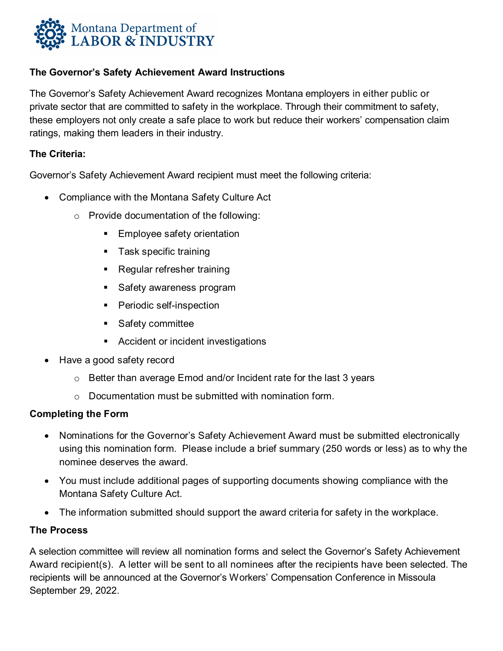

### **The Governor's Safety Achievement Award Instructions**

The Governor's Safety Achievement Award recognizes Montana employers in either public or private sector that are committed to safety in the workplace. Through their commitment to safety, these employers not only create a safe place to work but reduce their workers' compensation claim ratings, making them leaders in their industry.

### **The Criteria:**

Governor's Safety Achievement Award recipient must meet the following criteria:

- Compliance with the Montana Safety Culture Act
	- o Provide documentation of the following:
		- **Employee safety orientation**
		- Task specific training
		- **Regular refresher training**
		- **Safety awareness program**
		- **Periodic self-inspection**
		- Safety committee
		- **Accident or incident investigations**
- Have a good safety record
	- o Better than average Emod and/or Incident rate for the last 3 years
	- $\circ$  Documentation must be submitted with nomination form.

### **Completing the Form**

- Nominations for the Governor's Safety Achievement Award must be submitted electronically using this nomination form. Please include a brief summary (250 words or less) as to why the nominee deserves the award.
- You must include additional pages of supporting documents showing compliance with the Montana Safety Culture Act.
- The information submitted should support the award criteria for safety in the workplace.

### **The Process**

A selection committee will review all nomination forms and select the Governor's Safety Achievement Award recipient(s). A letter will be sent to all nominees after the recipients have been selected. The recipients will be announced at the Governor's Workers' Compensation Conference in Missoula September 29, 2022.